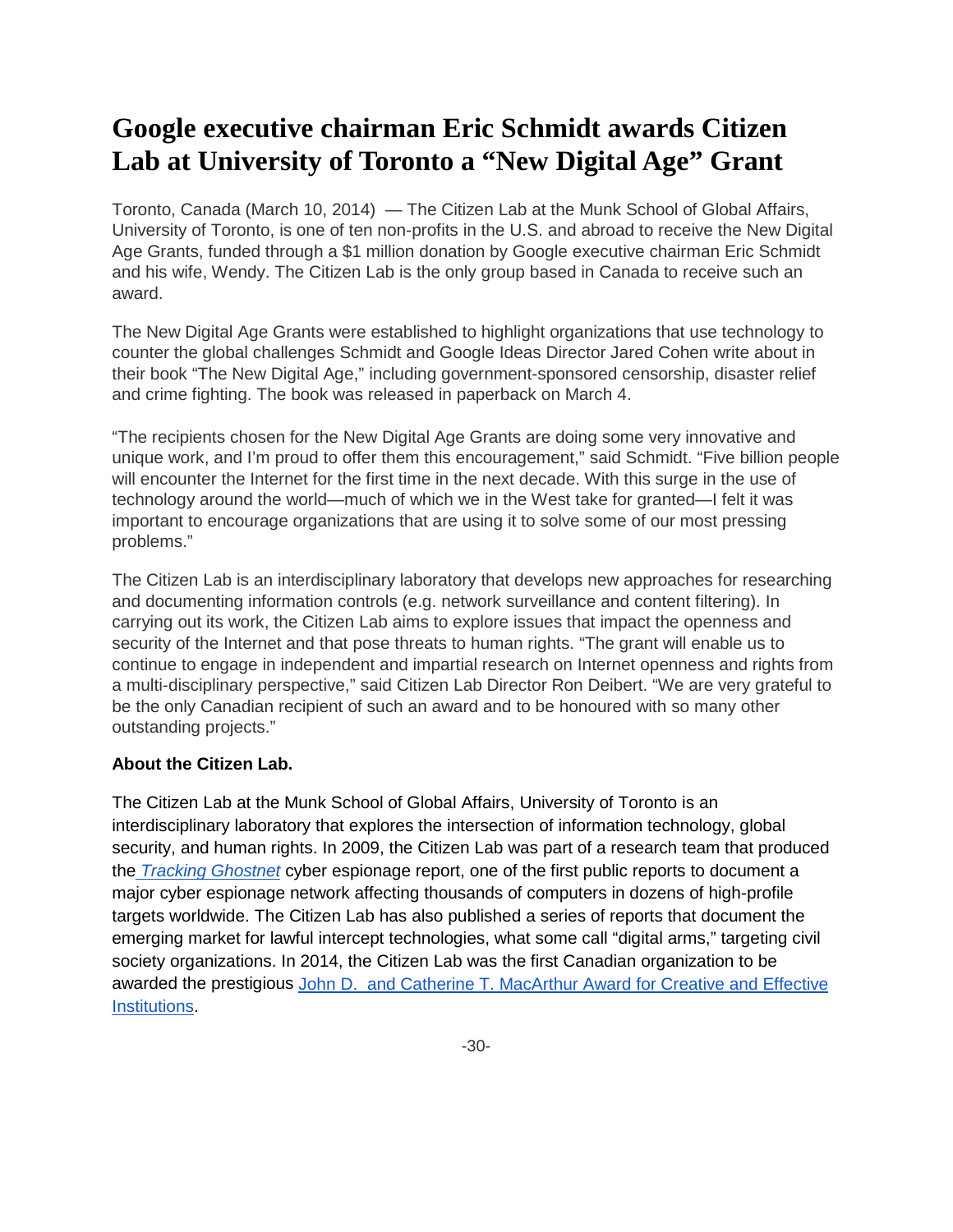## **Google executive chairman Eric Schmidt awards Citizen Lab at University of Toronto a "New Digital Age" Grant**

Toronto, Canada (March 10, 2014) — The Citizen Lab at the Munk School of Global Affairs, University of Toronto, is one of ten non-profits in the U.S. and abroad to receive the New Digital Age Grants, funded through a \$1 million donation by Google executive chairman Eric Schmidt and his wife, Wendy. The Citizen Lab is the only group based in Canada to receive such an award.

The New Digital Age Grants were established to highlight organizations that use technology to counter the global challenges Schmidt and Google Ideas Director Jared Cohen write about in their book "The New Digital Age," including government-sponsored censorship, disaster relief and crime fighting. The book was released in paperback on March 4.

"The recipients chosen for the New Digital Age Grants are doing some very innovative and unique work, and I'm proud to offer them this encouragement," said Schmidt. "Five billion people will encounter the Internet for the first time in the next decade. With this surge in the use of technology around the world—much of which we in the West take for granted—I felt it was important to encourage organizations that are using it to solve some of our most pressing problems."

The Citizen Lab is an interdisciplinary laboratory that develops new approaches for researching and documenting information controls (e.g. network surveillance and content filtering). In carrying out its work, the Citizen Lab aims to explore issues that impact the openness and security of the Internet and that pose threats to human rights. "The grant will enable us to continue to engage in independent and impartial research on Internet openness and rights from a multi-disciplinary perspective," said Citizen Lab Director Ron Deibert. "We are very grateful to be the only Canadian recipient of such an award and to be honoured with so many other outstanding projects."

## **About the Citizen Lab.**

The Citizen Lab at the Munk School of Global Affairs, University of Toronto is an interdisciplinary laboratory that explores the intersection of information technology, global security, and human rights. In 2009, the Citizen Lab was part of a research team that produced the *[Tracking Ghostnet](http://www.infowar-monitor.net/2009/09/tracking-ghostnet-investigating-a-cyber-espionage-network/)* cyber espionage report, one of the first public reports to document a major cyber espionage network affecting thousands of computers in dozens of high-profile targets worldwide. The Citizen Lab has also published a series of reports that document the emerging market for lawful intercept technologies, what some call "digital arms," targeting civil society organizations. In 2014, the Citizen Lab was the first Canadian organization to be awarded the prestigious [John D. and Catherine T. MacArthur Award for Creative and Effective](http://news.utoronto.ca/macarthur-award-u-ts-citizen-lab)  [Institutions.](http://news.utoronto.ca/macarthur-award-u-ts-citizen-lab)